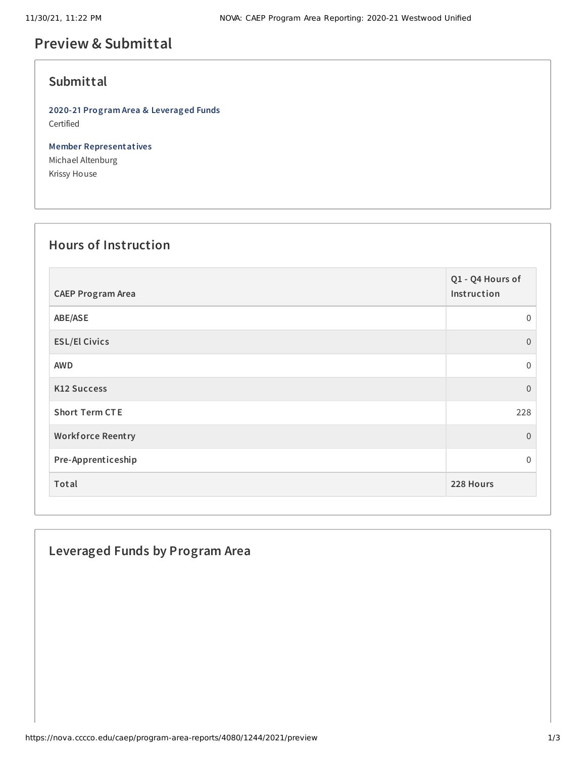# **Preview & Submittal**

## **Submittal**

**2020-21 Program Area & Leveraged Funds** Certified

**Member Representatives** Michael Altenburg Krissy House

#### **Hours of Instruction**

| <b>CAEP Program Area</b> | Q1 - Q4 Hours of<br>Instruction |
|--------------------------|---------------------------------|
| ABE/ASE                  | $\mathbf 0$                     |
| <b>ESL/El Civics</b>     | $\overline{0}$                  |
| <b>AWD</b>               | $\mathbf 0$                     |
| <b>K12 Success</b>       | $\overline{0}$                  |
| <b>Short Term CTE</b>    | 228                             |
| <b>Workforce Reentry</b> | $\overline{0}$                  |
| Pre-Apprenticeship       | $\Omega$                        |
| Total                    | 228 Hours                       |

## **Leveraged Funds by Program Area**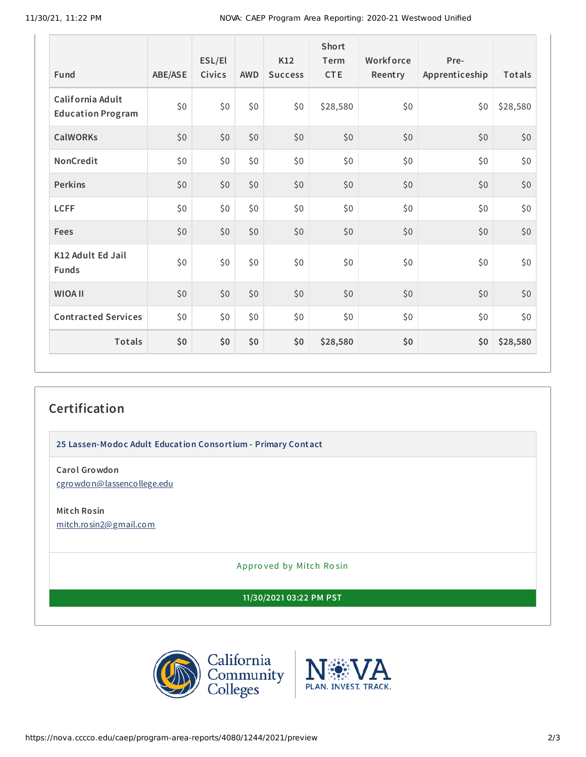11/30/21, 11:22 PM NOVA: CAEP Program Area Reporting: 2020-21 Westwood Unified

| Fund                                         | ABE/ASE | ESL/El<br>Civics | <b>AWD</b> | K12<br><b>Success</b> | Short<br>Term<br><b>CTE</b> | Workforce<br>Reentry | Pre-<br>Apprenticeship | Totals   |
|----------------------------------------------|---------|------------------|------------|-----------------------|-----------------------------|----------------------|------------------------|----------|
| California Adult<br><b>Education Program</b> | \$0     | \$0              | \$0\$      | \$0                   | \$28,580                    | \$0                  | \$0                    | \$28,580 |
| <b>CalWORKs</b>                              | \$0     | \$0              | \$0        | \$0                   | \$0                         | \$0                  | \$0                    | \$0      |
| NonCredit                                    | \$0     | \$0              | \$0\$      | \$0                   | \$0                         | \$0                  | \$0                    | \$0      |
| <b>Perkins</b>                               | \$0     | \$0              | \$0        | \$0                   | \$0                         | \$0                  | \$0                    | \$0      |
| <b>LCFF</b>                                  | \$0     | \$0              | \$0\$      | \$0                   | \$0                         | \$0                  | \$0\$                  | \$0      |
| Fees                                         | \$0     | \$0              | \$0        | \$0                   | \$0                         | \$0                  | \$0                    | \$0      |
| K12 Adult Ed Jail<br><b>Funds</b>            | \$0     | \$0              | \$0        | \$0                   | \$0                         | \$0                  | \$0                    | \$0      |
| <b>WIOA II</b>                               | \$0     | \$0              | \$0\$      | \$0                   | \$0                         | \$0                  | \$0                    | \$0      |
| <b>Contracted Services</b>                   | \$0     | \$0              | \$0\$      | \$0                   | \$0                         | \$0                  | \$0                    | \$0      |
| Totals                                       | \$0     | \$0              | \$0        | \$0                   | \$28,580                    | \$0                  | \$0                    | \$28,580 |

# **Certification**

**25 Lassen-Modoc Adult Education Consortium - Primary Contact**

**Carol Growdon** [cgrowdon@lassencollege.edu](mailto:cgrowdon@lassencollege.edu)

**Mitch Rosin** [mitch.rosin2@gmail.com](mailto:mitch.rosin2@gmail.com)

Appro ved by Mitch Ro sin

**11/30/2021 03:22 PM PST**